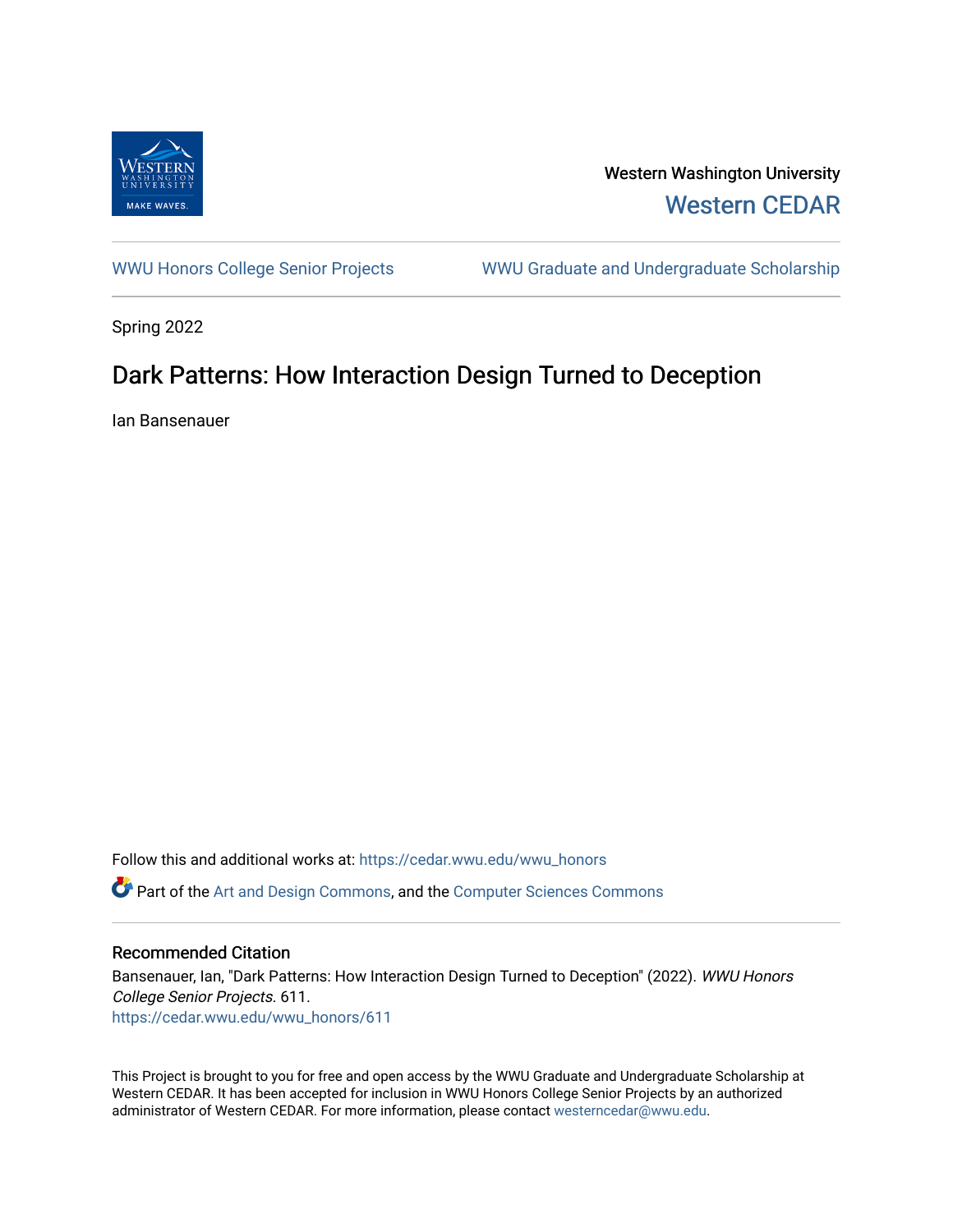

Western Washington University [Western CEDAR](https://cedar.wwu.edu/) 

[WWU Honors College Senior Projects](https://cedar.wwu.edu/wwu_honors) WWU Graduate and Undergraduate Scholarship

Spring 2022

## Dark Patterns: How Interaction Design Turned to Deception

Ian Bansenauer

Follow this and additional works at: [https://cedar.wwu.edu/wwu\\_honors](https://cedar.wwu.edu/wwu_honors?utm_source=cedar.wwu.edu%2Fwwu_honors%2F611&utm_medium=PDF&utm_campaign=PDFCoverPages)  **C** Part of the [Art and Design Commons](https://network.bepress.com/hgg/discipline/1049?utm_source=cedar.wwu.edu%2Fwwu_honors%2F611&utm_medium=PDF&utm_campaign=PDFCoverPages), and the Computer Sciences Commons

## Recommended Citation

Bansenauer, Ian, "Dark Patterns: How Interaction Design Turned to Deception" (2022). WWU Honors College Senior Projects. 611. [https://cedar.wwu.edu/wwu\\_honors/611](https://cedar.wwu.edu/wwu_honors/611?utm_source=cedar.wwu.edu%2Fwwu_honors%2F611&utm_medium=PDF&utm_campaign=PDFCoverPages)

This Project is brought to you for free and open access by the WWU Graduate and Undergraduate Scholarship at Western CEDAR. It has been accepted for inclusion in WWU Honors College Senior Projects by an authorized administrator of Western CEDAR. For more information, please contact [westerncedar@wwu.edu](mailto:westerncedar@wwu.edu).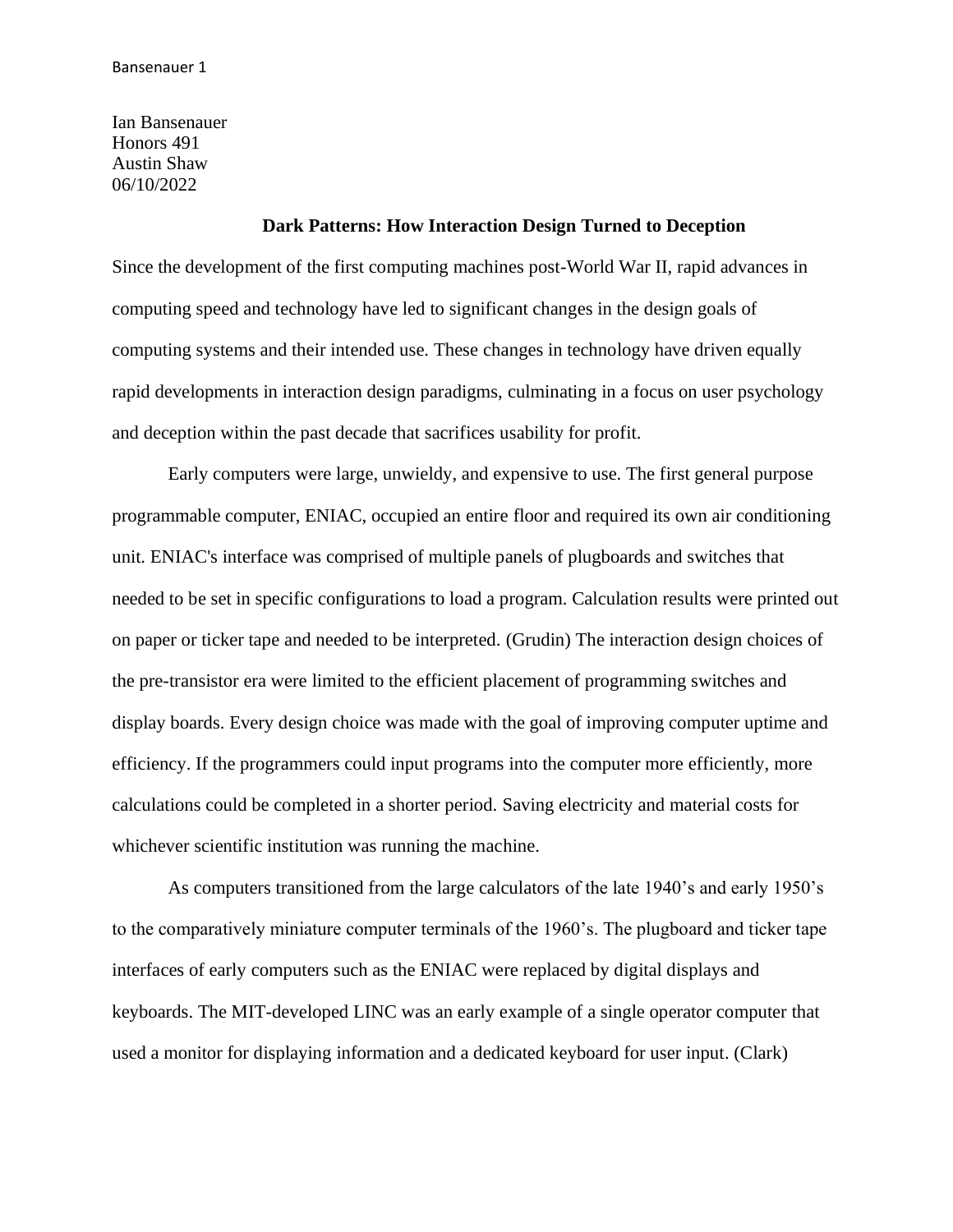Ian Bansenauer Honors 491 Austin Shaw 06/10/2022

## **Dark Patterns: How Interaction Design Turned to Deception**

Since the development of the first computing machines post-World War II, rapid advances in computing speed and technology have led to significant changes in the design goals of computing systems and their intended use. These changes in technology have driven equally rapid developments in interaction design paradigms, culminating in a focus on user psychology and deception within the past decade that sacrifices usability for profit.

Early computers were large, unwieldy, and expensive to use. The first general purpose programmable computer, ENIAC, occupied an entire floor and required its own air conditioning unit. ENIAC's interface was comprised of multiple panels of plugboards and switches that needed to be set in specific configurations to load a program. Calculation results were printed out on paper or ticker tape and needed to be interpreted. (Grudin) The interaction design choices of the pre-transistor era were limited to the efficient placement of programming switches and display boards. Every design choice was made with the goal of improving computer uptime and efficiency. If the programmers could input programs into the computer more efficiently, more calculations could be completed in a shorter period. Saving electricity and material costs for whichever scientific institution was running the machine.

As computers transitioned from the large calculators of the late 1940's and early 1950's to the comparatively miniature computer terminals of the 1960's. The plugboard and ticker tape interfaces of early computers such as the ENIAC were replaced by digital displays and keyboards. The MIT-developed LINC was an early example of a single operator computer that used a monitor for displaying information and a dedicated keyboard for user input. (Clark)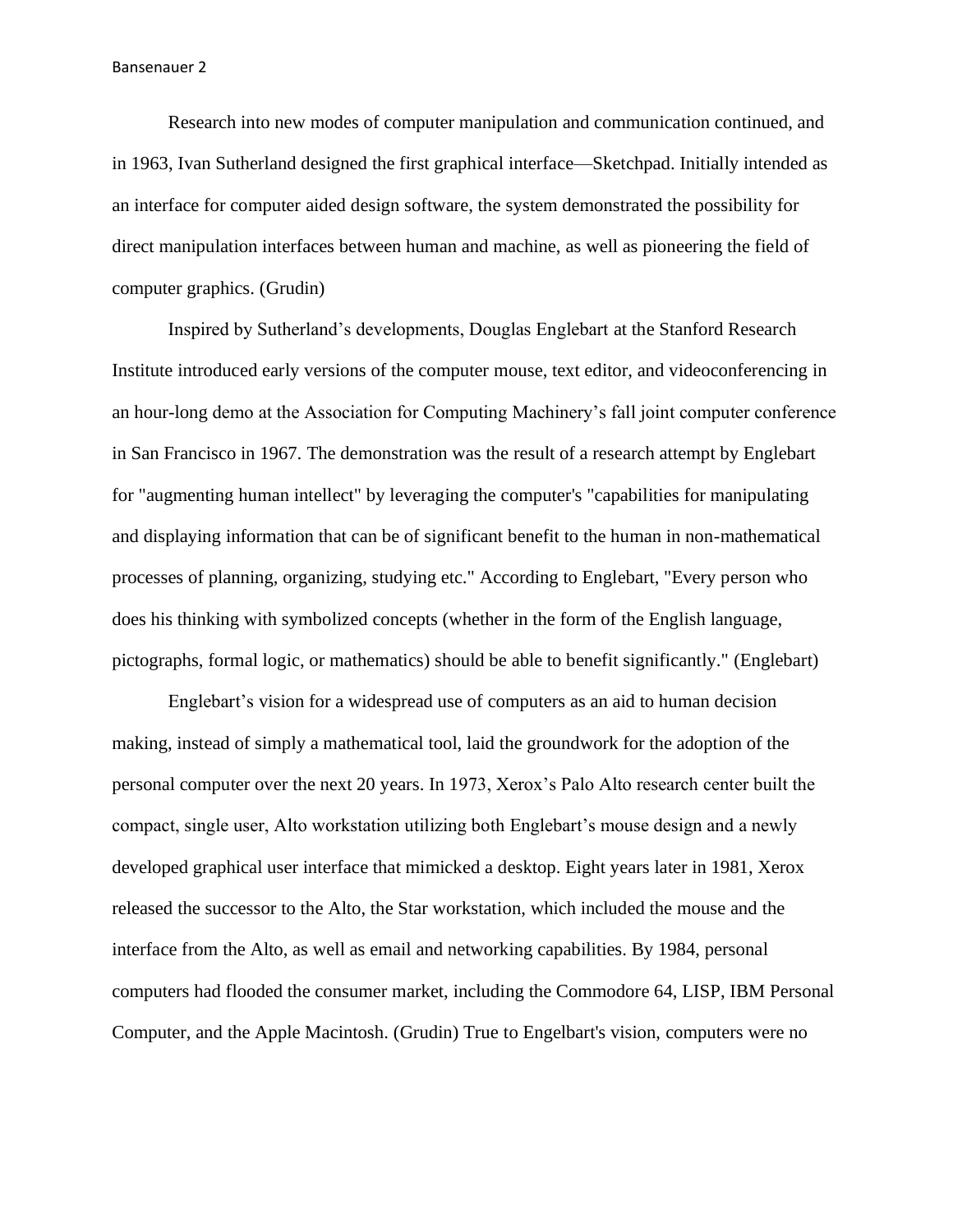Research into new modes of computer manipulation and communication continued, and in 1963, Ivan Sutherland designed the first graphical interface—Sketchpad. Initially intended as an interface for computer aided design software, the system demonstrated the possibility for direct manipulation interfaces between human and machine, as well as pioneering the field of computer graphics. (Grudin)

Inspired by Sutherland's developments, Douglas Englebart at the Stanford Research Institute introduced early versions of the computer mouse, text editor, and videoconferencing in an hour-long demo at the Association for Computing Machinery's fall joint computer conference in San Francisco in 1967. The demonstration was the result of a research attempt by Englebart for "augmenting human intellect" by leveraging the computer's "capabilities for manipulating and displaying information that can be of significant benefit to the human in non-mathematical processes of planning, organizing, studying etc." According to Englebart, "Every person who does his thinking with symbolized concepts (whether in the form of the English language, pictographs, formal logic, or mathematics) should be able to benefit significantly." (Englebart)

Englebart's vision for a widespread use of computers as an aid to human decision making, instead of simply a mathematical tool, laid the groundwork for the adoption of the personal computer over the next 20 years. In 1973, Xerox's Palo Alto research center built the compact, single user, Alto workstation utilizing both Englebart's mouse design and a newly developed graphical user interface that mimicked a desktop. Eight years later in 1981, Xerox released the successor to the Alto, the Star workstation, which included the mouse and the interface from the Alto, as well as email and networking capabilities. By 1984, personal computers had flooded the consumer market, including the Commodore 64, LISP, IBM Personal Computer, and the Apple Macintosh. (Grudin) True to Engelbart's vision, computers were no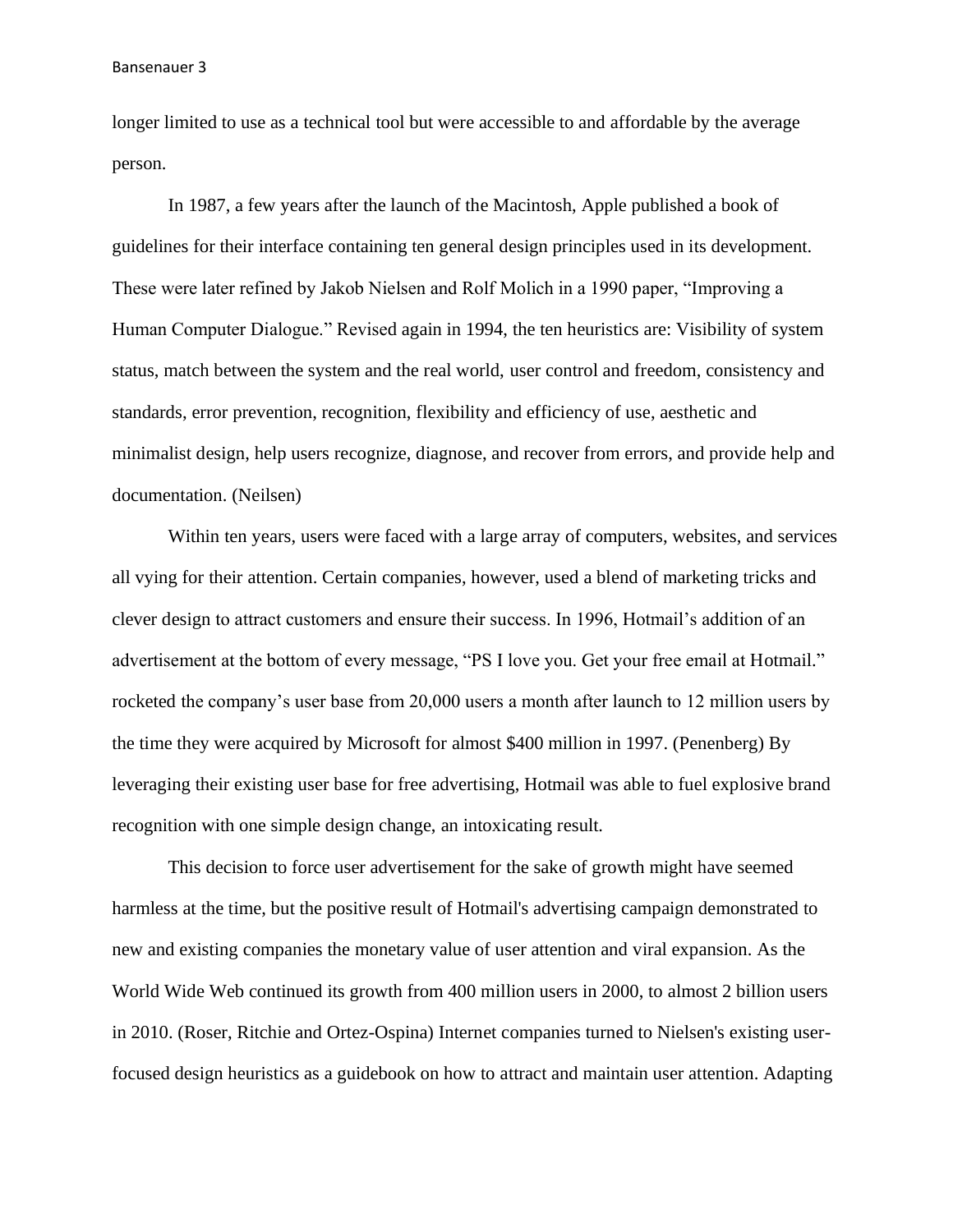longer limited to use as a technical tool but were accessible to and affordable by the average person.

In 1987, a few years after the launch of the Macintosh, Apple published a book of guidelines for their interface containing ten general design principles used in its development. These were later refined by Jakob Nielsen and Rolf Molich in a 1990 paper, "Improving a Human Computer Dialogue." Revised again in 1994, the ten heuristics are: Visibility of system status, match between the system and the real world, user control and freedom, consistency and standards, error prevention, recognition, flexibility and efficiency of use, aesthetic and minimalist design, help users recognize, diagnose, and recover from errors, and provide help and documentation. (Neilsen)

Within ten years, users were faced with a large array of computers, websites, and services all vying for their attention. Certain companies, however, used a blend of marketing tricks and clever design to attract customers and ensure their success. In 1996, Hotmail's addition of an advertisement at the bottom of every message, "PS I love you. Get your free email at Hotmail." rocketed the company's user base from 20,000 users a month after launch to 12 million users by the time they were acquired by Microsoft for almost \$400 million in 1997. (Penenberg) By leveraging their existing user base for free advertising, Hotmail was able to fuel explosive brand recognition with one simple design change, an intoxicating result.

This decision to force user advertisement for the sake of growth might have seemed harmless at the time, but the positive result of Hotmail's advertising campaign demonstrated to new and existing companies the monetary value of user attention and viral expansion. As the World Wide Web continued its growth from 400 million users in 2000, to almost 2 billion users in 2010. (Roser, Ritchie and Ortez-Ospina) Internet companies turned to Nielsen's existing userfocused design heuristics as a guidebook on how to attract and maintain user attention. Adapting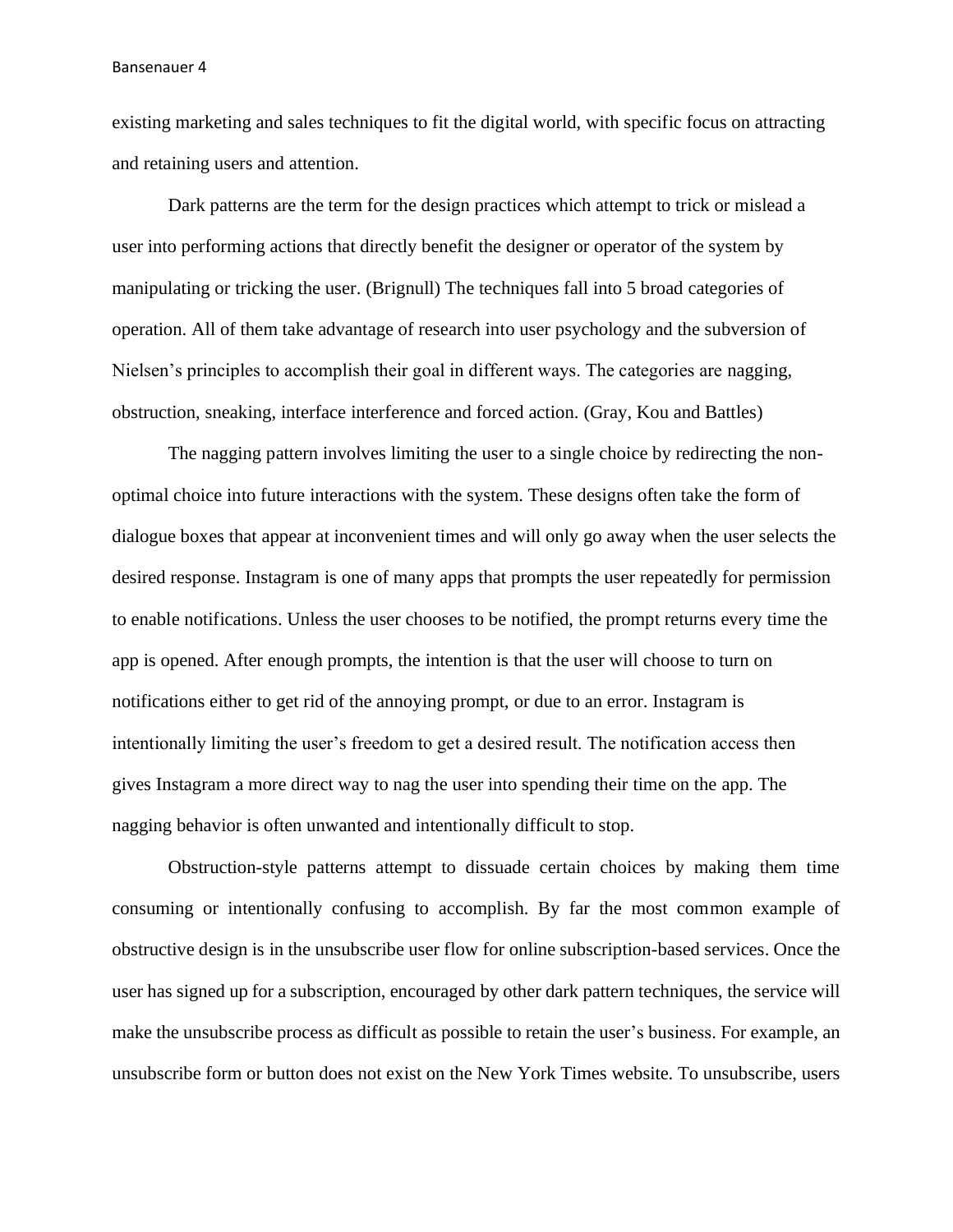existing marketing and sales techniques to fit the digital world, with specific focus on attracting and retaining users and attention.

Dark patterns are the term for the design practices which attempt to trick or mislead a user into performing actions that directly benefit the designer or operator of the system by manipulating or tricking the user. (Brignull) The techniques fall into 5 broad categories of operation. All of them take advantage of research into user psychology and the subversion of Nielsen's principles to accomplish their goal in different ways. The categories are nagging, obstruction, sneaking, interface interference and forced action. (Gray, Kou and Battles)

The nagging pattern involves limiting the user to a single choice by redirecting the nonoptimal choice into future interactions with the system. These designs often take the form of dialogue boxes that appear at inconvenient times and will only go away when the user selects the desired response. Instagram is one of many apps that prompts the user repeatedly for permission to enable notifications. Unless the user chooses to be notified, the prompt returns every time the app is opened. After enough prompts, the intention is that the user will choose to turn on notifications either to get rid of the annoying prompt, or due to an error. Instagram is intentionally limiting the user's freedom to get a desired result. The notification access then gives Instagram a more direct way to nag the user into spending their time on the app. The nagging behavior is often unwanted and intentionally difficult to stop.

Obstruction-style patterns attempt to dissuade certain choices by making them time consuming or intentionally confusing to accomplish. By far the most common example of obstructive design is in the unsubscribe user flow for online subscription-based services. Once the user has signed up for a subscription, encouraged by other dark pattern techniques, the service will make the unsubscribe process as difficult as possible to retain the user's business. For example, an unsubscribe form or button does not exist on the New York Times website. To unsubscribe, users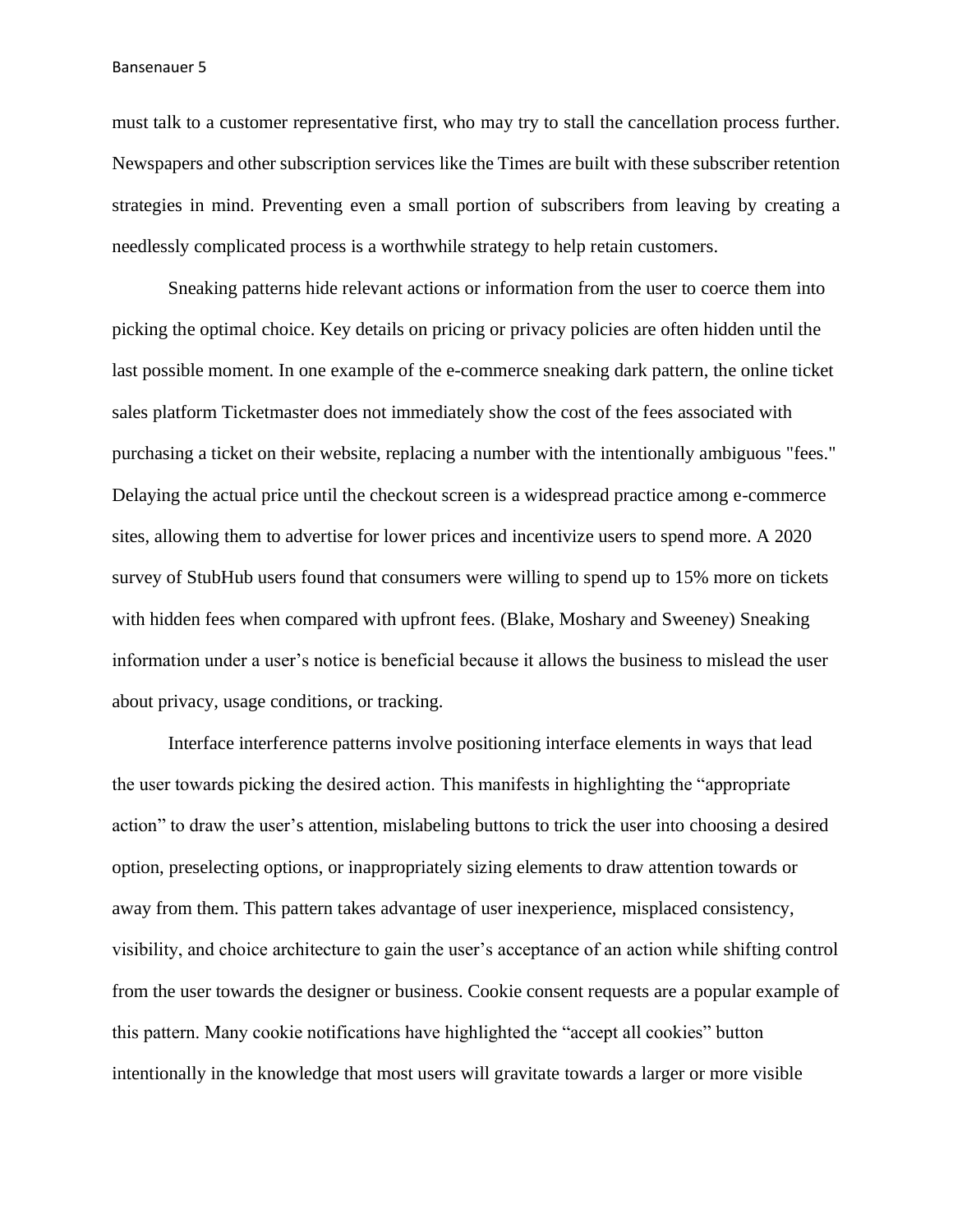must talk to a customer representative first, who may try to stall the cancellation process further. Newspapers and other subscription services like the Times are built with these subscriber retention strategies in mind. Preventing even a small portion of subscribers from leaving by creating a needlessly complicated process is a worthwhile strategy to help retain customers.

Sneaking patterns hide relevant actions or information from the user to coerce them into picking the optimal choice. Key details on pricing or privacy policies are often hidden until the last possible moment. In one example of the e-commerce sneaking dark pattern, the online ticket sales platform Ticketmaster does not immediately show the cost of the fees associated with purchasing a ticket on their website, replacing a number with the intentionally ambiguous "fees." Delaying the actual price until the checkout screen is a widespread practice among e-commerce sites, allowing them to advertise for lower prices and incentivize users to spend more. A 2020 survey of StubHub users found that consumers were willing to spend up to 15% more on tickets with hidden fees when compared with upfront fees. (Blake, Moshary and Sweeney) Sneaking information under a user's notice is beneficial because it allows the business to mislead the user about privacy, usage conditions, or tracking.

Interface interference patterns involve positioning interface elements in ways that lead the user towards picking the desired action. This manifests in highlighting the "appropriate action" to draw the user's attention, mislabeling buttons to trick the user into choosing a desired option, preselecting options, or inappropriately sizing elements to draw attention towards or away from them. This pattern takes advantage of user inexperience, misplaced consistency, visibility, and choice architecture to gain the user's acceptance of an action while shifting control from the user towards the designer or business. Cookie consent requests are a popular example of this pattern. Many cookie notifications have highlighted the "accept all cookies" button intentionally in the knowledge that most users will gravitate towards a larger or more visible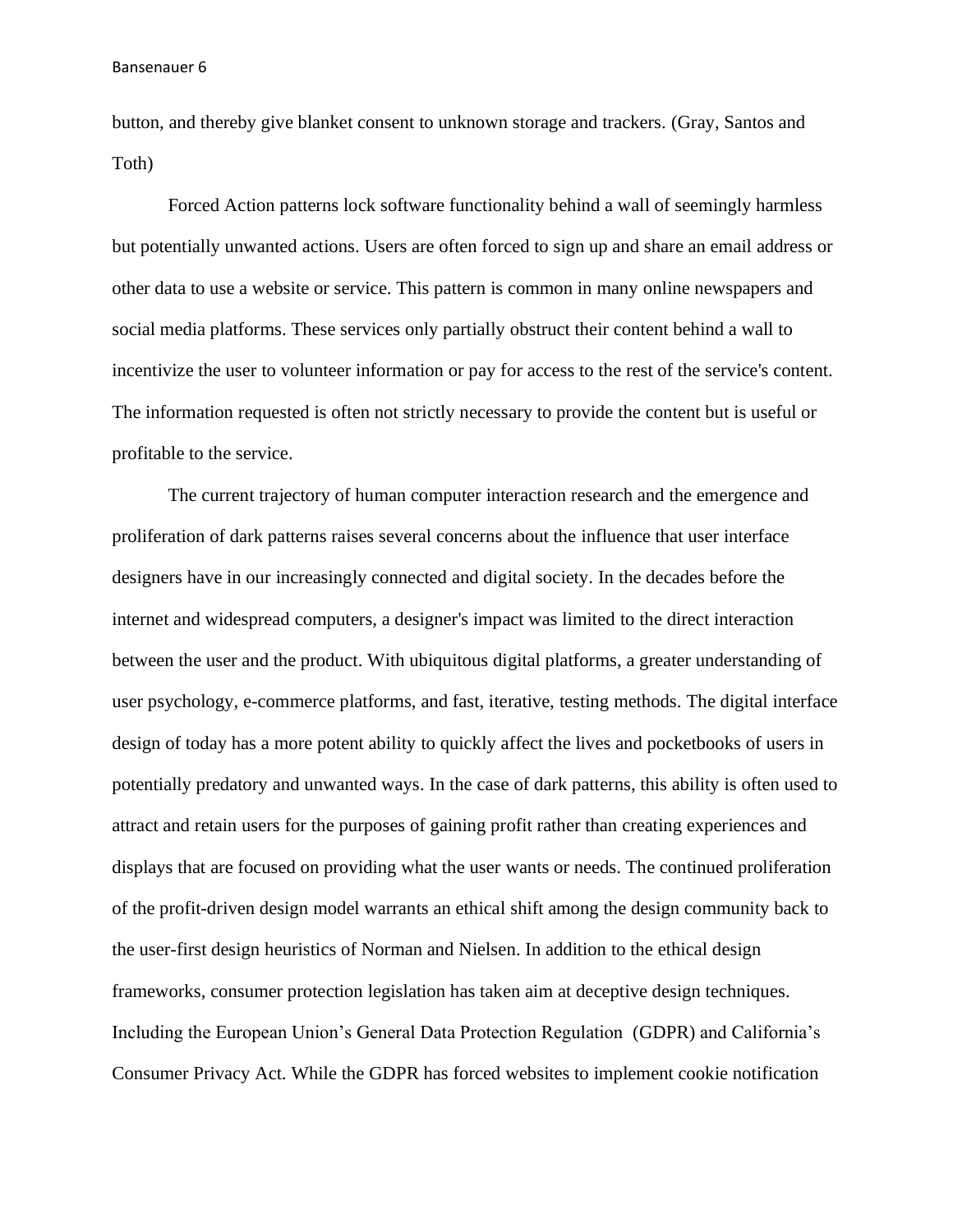button, and thereby give blanket consent to unknown storage and trackers. (Gray, Santos and Toth)

Forced Action patterns lock software functionality behind a wall of seemingly harmless but potentially unwanted actions. Users are often forced to sign up and share an email address or other data to use a website or service. This pattern is common in many online newspapers and social media platforms. These services only partially obstruct their content behind a wall to incentivize the user to volunteer information or pay for access to the rest of the service's content. The information requested is often not strictly necessary to provide the content but is useful or profitable to the service.

The current trajectory of human computer interaction research and the emergence and proliferation of dark patterns raises several concerns about the influence that user interface designers have in our increasingly connected and digital society. In the decades before the internet and widespread computers, a designer's impact was limited to the direct interaction between the user and the product. With ubiquitous digital platforms, a greater understanding of user psychology, e-commerce platforms, and fast, iterative, testing methods. The digital interface design of today has a more potent ability to quickly affect the lives and pocketbooks of users in potentially predatory and unwanted ways. In the case of dark patterns, this ability is often used to attract and retain users for the purposes of gaining profit rather than creating experiences and displays that are focused on providing what the user wants or needs. The continued proliferation of the profit-driven design model warrants an ethical shift among the design community back to the user-first design heuristics of Norman and Nielsen. In addition to the ethical design frameworks, consumer protection legislation has taken aim at deceptive design techniques. Including the European Union's General Data Protection Regulation (GDPR) and California's Consumer Privacy Act. While the GDPR has forced websites to implement cookie notification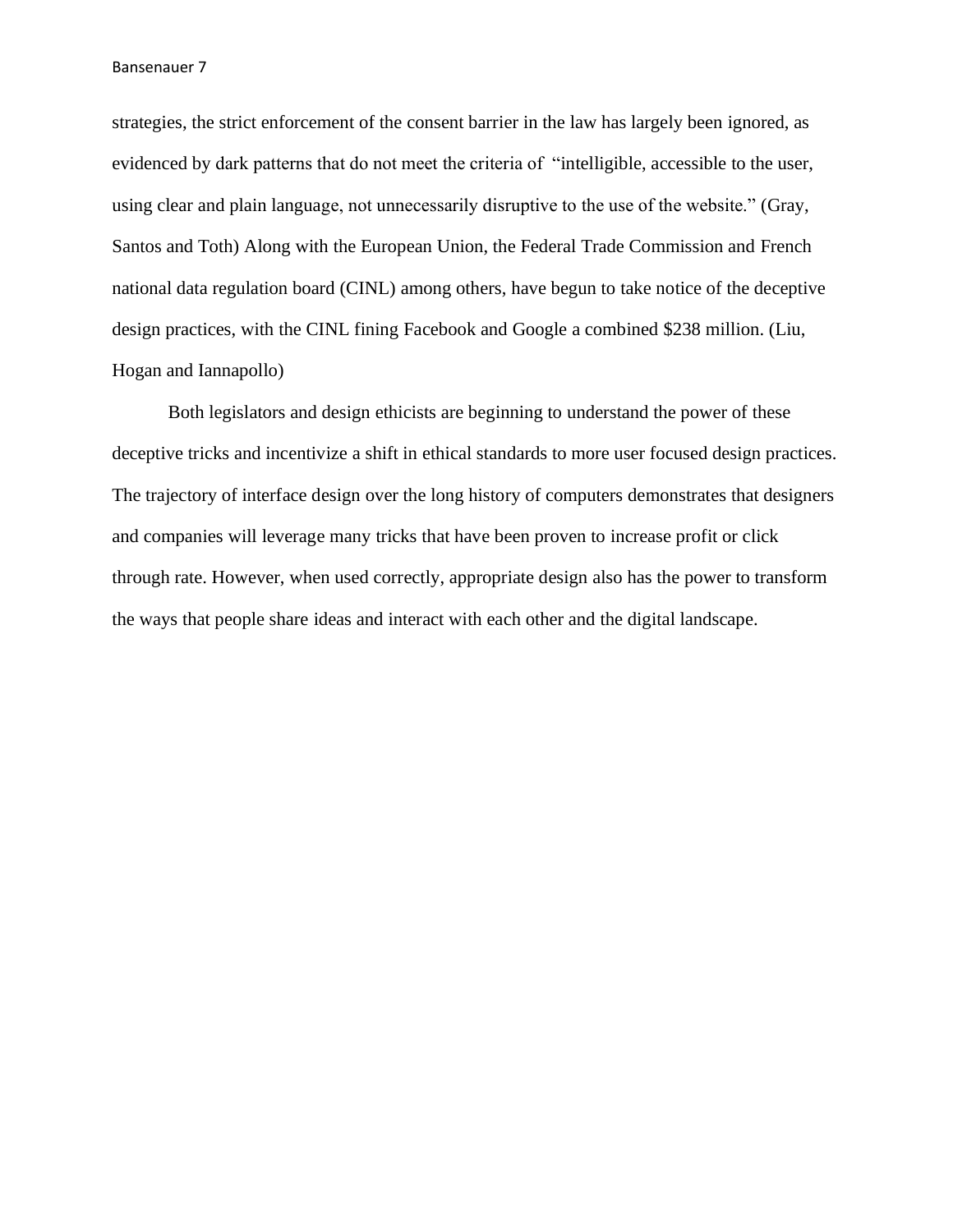strategies, the strict enforcement of the consent barrier in the law has largely been ignored, as evidenced by dark patterns that do not meet the criteria of "intelligible, accessible to the user, using clear and plain language, not unnecessarily disruptive to the use of the website." (Gray, Santos and Toth) Along with the European Union, the Federal Trade Commission and French national data regulation board (CINL) among others, have begun to take notice of the deceptive design practices, with the CINL fining Facebook and Google a combined \$238 million. (Liu, Hogan and Iannapollo)

Both legislators and design ethicists are beginning to understand the power of these deceptive tricks and incentivize a shift in ethical standards to more user focused design practices. The trajectory of interface design over the long history of computers demonstrates that designers and companies will leverage many tricks that have been proven to increase profit or click through rate. However, when used correctly, appropriate design also has the power to transform the ways that people share ideas and interact with each other and the digital landscape.